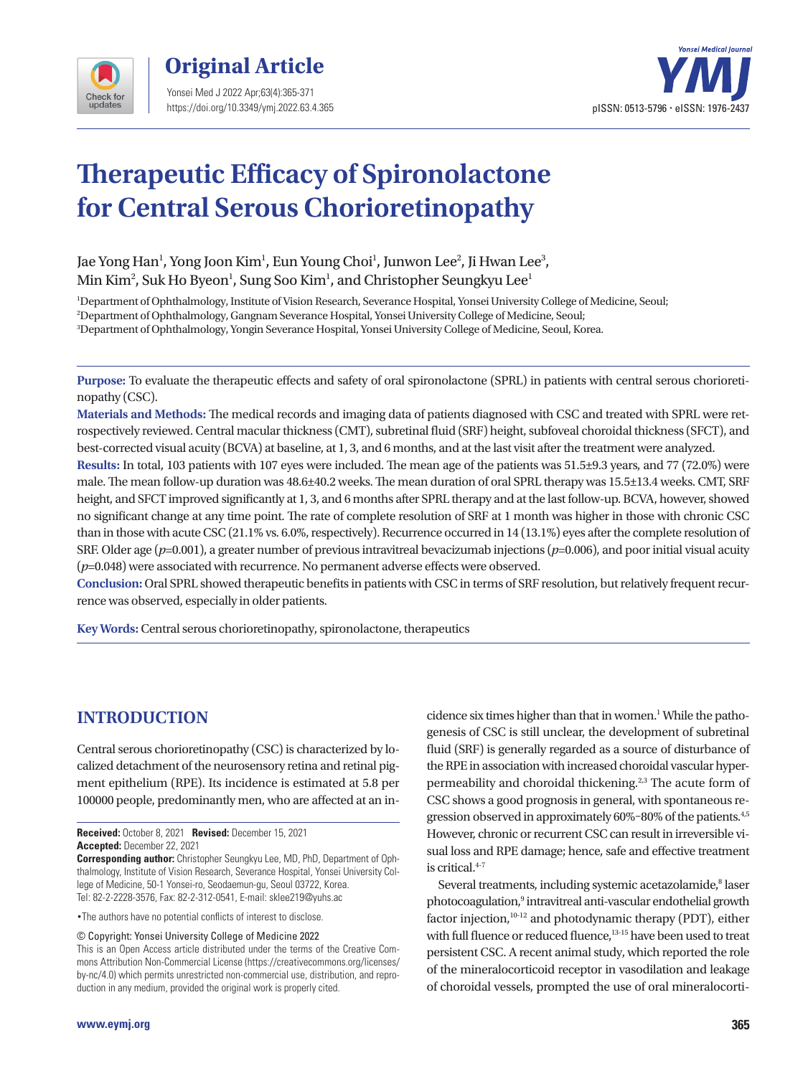

**Original Article**  Yonsei Med J 2022 Apr;63(4):365-371 https://doi.org/10.3349/ymj.2022.63.4.365



# **Therapeutic Efficacy of Spironolactone for Central Serous Chorioretinopathy**

Jae Yong Han<sup>1</sup>, Yong Joon Kim<sup>1</sup>, Eun Young Choi<sup>1</sup>, Junwon Lee<sup>2</sup>, Ji Hwan Lee<sup>3</sup>, Min Kim $^2$ , Suk Ho Byeon $^1$ , Sung Soo Kim $^1$ , and Christopher Seungkyu Lee $^1$ 

1 Department of Ophthalmology, Institute of Vision Research, Severance Hospital, Yonsei University College of Medicine, Seoul; 2 Department of Ophthalmology, Gangnam Severance Hospital, Yonsei University College of Medicine, Seoul; 3 Department of Ophthalmology, Yongin Severance Hospital, Yonsei University College of Medicine, Seoul, Korea.

**Purpose:** To evaluate the therapeutic effects and safety of oral spironolactone (SPRL) in patients with central serous chorioretinopathy (CSC).

**Materials and Methods:** The medical records and imaging data of patients diagnosed with CSC and treated with SPRL were retrospectively reviewed. Central macular thickness (CMT), subretinal fluid (SRF) height, subfoveal choroidal thickness (SFCT), and best-corrected visual acuity (BCVA) at baseline, at 1, 3, and 6 months, and at the last visit after the treatment were analyzed.

**Results:** In total, 103 patients with 107 eyes were included. The mean age of the patients was 51.5±9.3 years, and 77 (72.0%) were male. The mean follow-up duration was 48.6±40.2 weeks. The mean duration of oral SPRL therapy was 15.5±13.4 weeks. CMT, SRF height, and SFCT improved significantly at 1, 3, and 6 months after SPRL therapy and at the last follow-up. BCVA, however, showed no significant change at any time point. The rate of complete resolution of SRF at 1 month was higher in those with chronic CSC than in those with acute CSC (21.1% vs. 6.0%, respectively). Recurrence occurred in 14 (13.1%) eyes after the complete resolution of SRF. Older age (*p*=0.001), a greater number of previous intravitreal bevacizumab injections (*p*=0.006), and poor initial visual acuity (*p*=0.048) were associated with recurrence. No permanent adverse effects were observed.

**Conclusion:** Oral SPRL showed therapeutic benefits in patients with CSC in terms of SRF resolution, but relatively frequent recurrence was observed, especially in older patients.

**Key Words:** Central serous chorioretinopathy, spironolactone, therapeutics

# **INTRODUCTION**

Central serous chorioretinopathy (CSC) is characterized by localized detachment of the neurosensory retina and retinal pigment epithelium (RPE). Its incidence is estimated at 5.8 per 100000 people, predominantly men, who are affected at an in-

**Received:** October 8, 2021 **Revised:** December 15, 2021 **Accepted:** December 22, 2021

**Corresponding author:** Christopher Seungkyu Lee, MD, PhD, Department of Ophthalmology, Institute of Vision Research, Severance Hospital, Yonsei University College of Medicine, 50-1 Yonsei-ro, Seodaemun-gu, Seoul 03722, Korea. Tel: 82-2-2228-3576, Fax: 82-2-312-0541, E-mail: sklee219@yuhs.ac

•The authors have no potential conflicts of interest to disclose.

© Copyright: Yonsei University College of Medicine 2022

This is an Open Access article distributed under the terms of the Creative Commons Attribution Non-Commercial License (https://creativecommons.org/licenses/ by-nc/4.0) which permits unrestricted non-commercial use, distribution, and reproduction in any medium, provided the original work is properly cited.

cidence six times higher than that in women.<sup>1</sup> While the pathogenesis of CSC is still unclear, the development of subretinal fluid (SRF) is generally regarded as a source of disturbance of the RPE in association with increased choroidal vascular hyperpermeability and choroidal thickening.<sup>2,3</sup> The acute form of CSC shows a good prognosis in general, with spontaneous regression observed in approximately 60%–80% of the patients.<sup>4,5</sup> However, chronic or recurrent CSC can result in irreversible visual loss and RPE damage; hence, safe and effective treatment is critical.<sup>4-7</sup>

Several treatments, including systemic acetazolamide,<sup>8</sup> laser photocoagulation,<sup>9</sup> intravitreal anti-vascular endothelial growth factor injection, $10-12$  and photodynamic therapy (PDT), either with full fluence or reduced fluence,<sup>13-15</sup> have been used to treat persistent CSC. A recent animal study, which reported the role of the mineralocorticoid receptor in vasodilation and leakage of choroidal vessels, prompted the use of oral mineralocorti-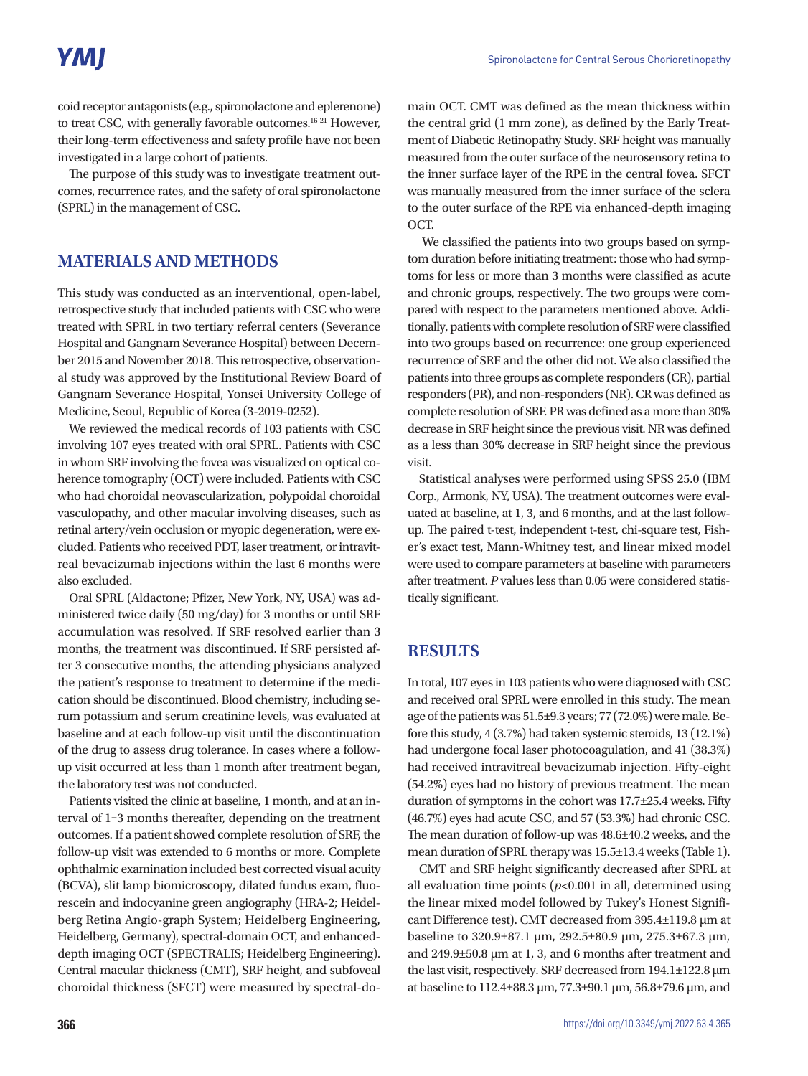# **YMI**

coid receptor antagonists (e.g., spironolactone and eplerenone) to treat CSC, with generally favorable outcomes.16-21 However, their long-term effectiveness and safety profile have not been investigated in a large cohort of patients.

The purpose of this study was to investigate treatment outcomes, recurrence rates, and the safety of oral spironolactone (SPRL) in the management of CSC.

### **MATERIALS AND METHODS**

This study was conducted as an interventional, open-label, retrospective study that included patients with CSC who were treated with SPRL in two tertiary referral centers (Severance Hospital and Gangnam Severance Hospital) between December 2015 and November 2018. This retrospective, observational study was approved by the Institutional Review Board of Gangnam Severance Hospital, Yonsei University College of Medicine, Seoul, Republic of Korea (3-2019-0252).

We reviewed the medical records of 103 patients with CSC involving 107 eyes treated with oral SPRL. Patients with CSC in whom SRF involving the fovea was visualized on optical coherence tomography (OCT) were included. Patients with CSC who had choroidal neovascularization, polypoidal choroidal vasculopathy, and other macular involving diseases, such as retinal artery/vein occlusion or myopic degeneration, were excluded. Patients who received PDT, laser treatment, or intravitreal bevacizumab injections within the last 6 months were also excluded.

Oral SPRL (Aldactone; Pfizer, New York, NY, USA) was administered twice daily (50 mg/day) for 3 months or until SRF accumulation was resolved. If SRF resolved earlier than 3 months, the treatment was discontinued. If SRF persisted after 3 consecutive months, the attending physicians analyzed the patient's response to treatment to determine if the medication should be discontinued. Blood chemistry, including serum potassium and serum creatinine levels, was evaluated at baseline and at each follow-up visit until the discontinuation of the drug to assess drug tolerance. In cases where a followup visit occurred at less than 1 month after treatment began, the laboratory test was not conducted.

Patients visited the clinic at baseline, 1 month, and at an interval of 1–3 months thereafter, depending on the treatment outcomes. If a patient showed complete resolution of SRF, the follow-up visit was extended to 6 months or more. Complete ophthalmic examination included best corrected visual acuity (BCVA), slit lamp biomicroscopy, dilated fundus exam, fluorescein and indocyanine green angiography (HRA-2; Heidelberg Retina Angio-graph System; Heidelberg Engineering, Heidelberg, Germany), spectral-domain OCT, and enhanceddepth imaging OCT (SPECTRALIS; Heidelberg Engineering). Central macular thickness (CMT), SRF height, and subfoveal choroidal thickness (SFCT) were measured by spectral-do-

main OCT. CMT was defined as the mean thickness within the central grid (1 mm zone), as defined by the Early Treatment of Diabetic Retinopathy Study. SRF height was manually measured from the outer surface of the neurosensory retina to the inner surface layer of the RPE in the central fovea. SFCT was manually measured from the inner surface of the sclera to the outer surface of the RPE via enhanced-depth imaging OCT.

 We classified the patients into two groups based on symptom duration before initiating treatment: those who had symptoms for less or more than 3 months were classified as acute and chronic groups, respectively. The two groups were compared with respect to the parameters mentioned above. Additionally, patients with complete resolution of SRF were classified into two groups based on recurrence: one group experienced recurrence of SRF and the other did not. We also classified the patients into three groups as complete responders (CR), partial responders (PR), and non-responders (NR). CR was defined as complete resolution of SRF. PR was defined as a more than 30% decrease in SRF height since the previous visit. NR was defined as a less than 30% decrease in SRF height since the previous visit.

Statistical analyses were performed using SPSS 25.0 (IBM Corp., Armonk, NY, USA). The treatment outcomes were evaluated at baseline, at 1, 3, and 6 months, and at the last followup. The paired t-test, independent t-test, chi-square test, Fisher's exact test, Mann-Whitney test, and linear mixed model were used to compare parameters at baseline with parameters after treatment. *P* values less than 0.05 were considered statistically significant.

### **RESULTS**

In total, 107 eyes in 103 patients who were diagnosed with CSC and received oral SPRL were enrolled in this study. The mean age of the patients was 51.5±9.3 years; 77 (72.0%) were male. Before this study, 4 (3.7%) had taken systemic steroids, 13 (12.1%) had undergone focal laser photocoagulation, and 41 (38.3%) had received intravitreal bevacizumab injection. Fifty-eight (54.2%) eyes had no history of previous treatment. The mean duration of symptoms in the cohort was 17.7±25.4 weeks. Fifty (46.7%) eyes had acute CSC, and 57 (53.3%) had chronic CSC. The mean duration of follow-up was 48.6±40.2 weeks, and the mean duration of SPRL therapy was 15.5±13.4 weeks (Table 1).

CMT and SRF height significantly decreased after SPRL at all evaluation time points  $(p<0.001$  in all, determined using the linear mixed model followed by Tukey's Honest Significant Difference test). CMT decreased from 395.4±119.8 µm at baseline to 320.9±87.1 µm, 292.5±80.9 µm, 275.3±67.3 µm, and 249.9±50.8 µm at 1, 3, and 6 months after treatment and the last visit, respectively. SRF decreased from 194.1±122.8 µm at baseline to 112.4±88.3 µm, 77.3±90.1 µm, 56.8±79.6 µm, and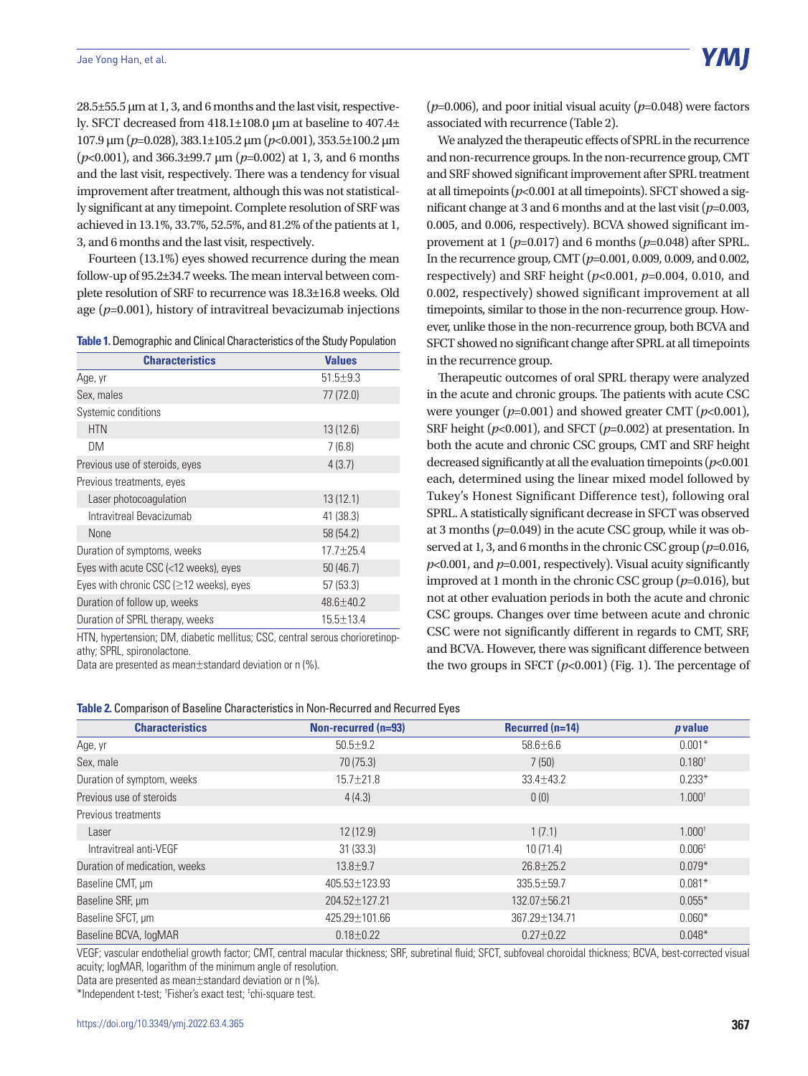Y MI

28.5±55.5 µm at 1, 3, and 6 months and the last visit, respectively. SFCT decreased from 418.1±108.0 µm at baseline to 407.4± 107.9 µm (*p*=0.028), 383.1±105.2 µm (*p*<0.001), 353.5±100.2 µm (*p*<0.001), and 366.3±99.7 µm (*p*=0.002) at 1, 3, and 6 months and the last visit, respectively. There was a tendency for visual improvement after treatment, although this was not statistically significant at any timepoint. Complete resolution of SRF was achieved in 13.1%, 33.7%, 52.5%, and 81.2% of the patients at 1, 3, and 6 months and the last visit, respectively.

Fourteen (13.1%) eyes showed recurrence during the mean follow-up of 95.2±34.7 weeks. The mean interval between complete resolution of SRF to recurrence was 18.3±16.8 weeks. Old age (*p*=0.001), history of intravitreal bevacizumab injections

| <b>Table 1.</b> Demographic and Clinical Characteristics of the Study Population |  |  |
|----------------------------------------------------------------------------------|--|--|
|                                                                                  |  |  |

| <b>Characteristics</b>                         | <b>Values</b>   |
|------------------------------------------------|-----------------|
| Age, yr                                        | $51.5 \pm 9.3$  |
| Sex, males                                     | 77 (72.0)       |
| Systemic conditions                            |                 |
| <b>HTN</b>                                     | 13(12.6)        |
| DM                                             | 7(6.8)          |
| Previous use of steroids, eyes                 | 4(3.7)          |
| Previous treatments, eyes                      |                 |
| Laser photocoagulation                         | 13(12.1)        |
| Intravitreal Bevacizumab                       | 41 (38.3)       |
| <b>None</b>                                    | 58 (54.2)       |
| Duration of symptoms, weeks                    | $17.7 + 25.4$   |
| Eyes with acute CSC (<12 weeks), eyes          | 50(46.7)        |
| Eyes with chronic CSC ( $\geq$ 12 weeks), eyes | 57(53.3)        |
| Duration of follow up, weeks                   | 48.6±40.2       |
| Duration of SPRL therapy, weeks                | $15.5 \pm 13.4$ |

HTN, hypertension; DM, diabetic mellitus; CSC, central serous chorioretinopathy; SPRL, spironolactone.

Data are presented as mean±standard deviation or n (%).

(*p*=0.006), and poor initial visual acuity (*p*=0.048) were factors associated with recurrence (Table 2).

We analyzed the therapeutic effects of SPRL in the recurrence and non-recurrence groups. In the non-recurrence group, CMT and SRF showed significant improvement after SPRL treatment at all timepoints (*p*<0.001 at all timepoints). SFCT showed a significant change at 3 and 6 months and at the last visit (*p*=0.003, 0.005, and 0.006, respectively). BCVA showed significant improvement at 1 (*p*=0.017) and 6 months (*p*=0.048) after SPRL. In the recurrence group, CMT (*p*=0.001, 0.009, 0.009, and 0.002, respectively) and SRF height (*p*<0.001, *p*=0.004, 0.010, and 0.002, respectively) showed significant improvement at all timepoints, similar to those in the non-recurrence group. However, unlike those in the non-recurrence group, both BCVA and SFCT showed no significant change after SPRL at all timepoints in the recurrence group.

Therapeutic outcomes of oral SPRL therapy were analyzed in the acute and chronic groups. The patients with acute CSC were younger (*p*=0.001) and showed greater CMT (*p*<0.001), SRF height (*p*<0.001), and SFCT (*p*=0.002) at presentation. In both the acute and chronic CSC groups, CMT and SRF height decreased significantly at all the evaluation timepoints (*p*<0.001 each, determined using the linear mixed model followed by Tukey's Honest Significant Difference test), following oral SPRL. A statistically significant decrease in SFCT was observed at 3 months (*p*=0.049) in the acute CSC group, while it was observed at 1, 3, and 6 months in the chronic CSC group (*p*=0.016,  $p$ <0.001, and  $p$ =0.001, respectively). Visual acuity significantly improved at 1 month in the chronic CSC group (*p*=0.016), but not at other evaluation periods in both the acute and chronic CSC groups. Changes over time between acute and chronic CSC were not significantly different in regards to CMT, SRF, and BCVA. However, there was significant difference between the two groups in SFCT  $(p<0.001)$  (Fig. 1). The percentage of

#### **Table 2.** Comparison of Baseline Characteristics in Non-Recurred and Recurred Eyes

| <b>Characteristics</b>        | Non-recurred (n=93) | Recurred $(n=14)$ | p value           |
|-------------------------------|---------------------|-------------------|-------------------|
| Age, yr                       | $50.5 \pm 9.2$      | $58.6 \pm 6.6$    | $0.001*$          |
| Sex, male                     | 70 (75.3)           | 7(50)             | $0.180^{t}$       |
| Duration of symptom, weeks    | $15.7 \pm 21.8$     | $33.4 \pm 43.2$   | $0.233*$          |
| Previous use of steroids      | 4(4.3)              | 0(0)              | $1.000^+$         |
| Previous treatments           |                     |                   |                   |
| Laser                         | 12(12.9)            | 1(7.1)            | $1.000^{\dagger}$ |
| Intravitreal anti-VEGF        | 31(33.3)            | 10(71.4)          | $0.006*$          |
| Duration of medication, weeks | $13.8 \pm 9.7$      | $26.8 \pm 25.2$   | $0.079*$          |
| Baseline CMT, µm              | 405.53±123.93       | 335.5±59.7        | $0.081*$          |
| Baseline SRF, µm              | 204.52±127.21       | 132.07±56.21      | $0.055*$          |
| Baseline SFCT, µm             | 425.29±101.66       | 367.29±134.71     | $0.060*$          |
| Baseline BCVA, logMAR         | $0.18 \pm 0.22$     | $0.27 \pm 0.22$   | $0.048*$          |

VEGF; vascular endothelial growth factor; CMT, central macular thickness; SRF, subretinal fluid; SFCT, subfoveal choroidal thickness; BCVA, best-corrected visual acuity; logMAR, logarithm of the minimum angle of resolution.

Data are presented as mean±standard deviation or n (%).

\*Independent t-test; † Fisher's exact test; ‡ chi-square test.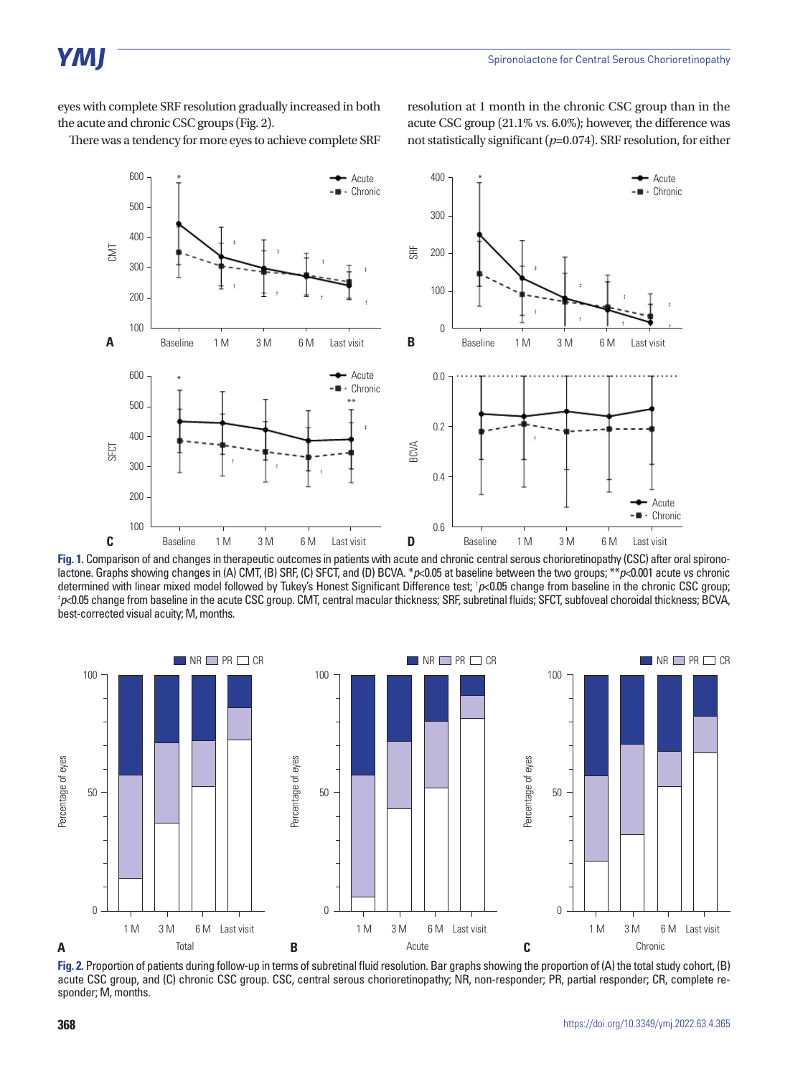eyes with complete SRF resolution gradually increased in both the acute and chronic CSC groups (Fig. 2).

resolution at 1 month in the chronic CSC group than in the acute CSC group (21.1% vs. 6.0%); however, the difference was not statistically significant (*p*=0.074). SRF resolution, for either

There was a tendency for more eyes to achieve complete SRF



**Fig. 1.** Comparison of and changes in therapeutic outcomes in patients with acute and chronic central serous chorioretinopathy (CSC) after oral spironolactone. Graphs showing changes in (A) CMT, (B) SRF, (C) SFCT, and (D) BCVA. \**p*<0.05 at baseline between the two groups; \*\**p*<0.001 acute vs chronic determined with linear mixed model followed by Tukey's Honest Significant Difference test; † *p*<0.05 change from baseline in the chronic CSC group; ‡ *p*<0.05 change from baseline in the acute CSC group. CMT, central macular thickness; SRF, subretinal fluids; SFCT, subfoveal choroidal thickness; BCVA, best-corrected visual acuity; M, months.



**Fig. 2.** Proportion of patients during follow-up in terms of subretinal fluid resolution. Bar graphs showing the proportion of (A) the total study cohort, (B) acute CSC group, and (C) chronic CSC group. CSC, central serous chorioretinopathy; NR, non-responder; PR, partial responder; CR, complete responder; M, months.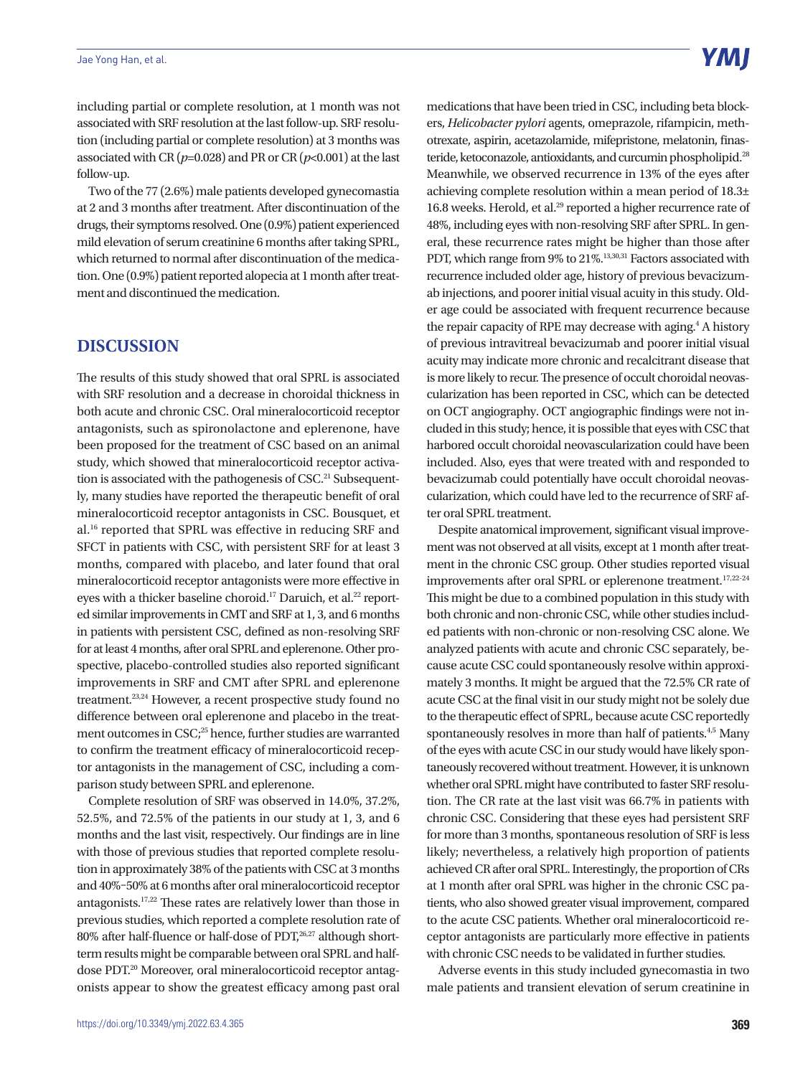including partial or complete resolution, at 1 month was not associated with SRF resolution at the last follow-up. SRF resolution (including partial or complete resolution) at 3 months was associated with CR  $(p=0.028)$  and PR or CR  $(p<0.001)$  at the last follow-up.

Two of the 77 (2.6%) male patients developed gynecomastia at 2 and 3 months after treatment. After discontinuation of the drugs, their symptoms resolved. One (0.9%) patient experienced mild elevation of serum creatinine 6 months after taking SPRL, which returned to normal after discontinuation of the medication. One (0.9%) patient reported alopecia at 1 month after treatment and discontinued the medication.

#### **DISCUSSION**

The results of this study showed that oral SPRL is associated with SRF resolution and a decrease in choroidal thickness in both acute and chronic CSC. Oral mineralocorticoid receptor antagonists, such as spironolactone and eplerenone, have been proposed for the treatment of CSC based on an animal study, which showed that mineralocorticoid receptor activation is associated with the pathogenesis of CSC.<sup>21</sup> Subsequently, many studies have reported the therapeutic benefit of oral mineralocorticoid receptor antagonists in CSC. Bousquet, et al.16 reported that SPRL was effective in reducing SRF and SFCT in patients with CSC, with persistent SRF for at least 3 months, compared with placebo, and later found that oral mineralocorticoid receptor antagonists were more effective in eyes with a thicker baseline choroid.<sup>17</sup> Daruich, et al.<sup>22</sup> reported similar improvements in CMT and SRF at 1, 3, and 6 months in patients with persistent CSC, defined as non-resolving SRF for at least 4 months, after oral SPRL and eplerenone. Other prospective, placebo-controlled studies also reported significant improvements in SRF and CMT after SPRL and eplerenone treatment.23,24 However, a recent prospective study found no difference between oral eplerenone and placebo in the treatment outcomes in CSC;<sup>25</sup> hence, further studies are warranted to confirm the treatment efficacy of mineralocorticoid receptor antagonists in the management of CSC, including a comparison study between SPRL and eplerenone.

Complete resolution of SRF was observed in 14.0%, 37.2%, 52.5%, and 72.5% of the patients in our study at 1, 3, and 6 months and the last visit, respectively. Our findings are in line with those of previous studies that reported complete resolution in approximately 38% of the patients with CSC at 3 months and 40%–50% at 6 months after oral mineralocorticoid receptor antagonists.17,22 These rates are relatively lower than those in previous studies, which reported a complete resolution rate of 80% after half-fluence or half-dose of PDT, $^{26,27}$  although shortterm results might be comparable between oral SPRL and halfdose PDT.20 Moreover, oral mineralocorticoid receptor antagonists appear to show the greatest efficacy among past oral medications that have been tried in CSC, including beta blockers, *Helicobacter pylori* agents, omeprazole, rifampicin, methotrexate, aspirin, acetazolamide, mifepristone, melatonin, finasteride, ketoconazole, antioxidants, and curcumin phospholipid.<sup>28</sup> Meanwhile, we observed recurrence in 13% of the eyes after achieving complete resolution within a mean period of 18.3± 16.8 weeks. Herold, et al.<sup>29</sup> reported a higher recurrence rate of 48%, including eyes with non-resolving SRF after SPRL. In general, these recurrence rates might be higher than those after PDT, which range from 9% to 21%.<sup>13,30,31</sup> Factors associated with recurrence included older age, history of previous bevacizumab injections, and poorer initial visual acuity in this study. Older age could be associated with frequent recurrence because the repair capacity of RPE may decrease with aging.<sup>4</sup> A history of previous intravitreal bevacizumab and poorer initial visual acuity may indicate more chronic and recalcitrant disease that is more likely to recur. The presence of occult choroidal neovascularization has been reported in CSC, which can be detected on OCT angiography. OCT angiographic findings were not included in this study; hence, it is possible that eyes with CSC that harbored occult choroidal neovascularization could have been included. Also, eyes that were treated with and responded to bevacizumab could potentially have occult choroidal neovascularization, which could have led to the recurrence of SRF after oral SPRL treatment.

Despite anatomical improvement, significant visual improvement was not observed at all visits, except at 1 month after treatment in the chronic CSC group. Other studies reported visual improvements after oral SPRL or eplerenone treatment.<sup>17,22-24</sup> This might be due to a combined population in this study with both chronic and non-chronic CSC, while other studies included patients with non-chronic or non-resolving CSC alone. We analyzed patients with acute and chronic CSC separately, because acute CSC could spontaneously resolve within approximately 3 months. It might be argued that the 72.5% CR rate of acute CSC at the final visit in our study might not be solely due to the therapeutic effect of SPRL, because acute CSC reportedly spontaneously resolves in more than half of patients.<sup>4,5</sup> Many of the eyes with acute CSC in our study would have likely spontaneously recovered without treatment. However, it is unknown whether oral SPRL might have contributed to faster SRF resolution. The CR rate at the last visit was 66.7% in patients with chronic CSC. Considering that these eyes had persistent SRF for more than 3 months, spontaneous resolution of SRF is less likely; nevertheless, a relatively high proportion of patients achieved CR after oral SPRL. Interestingly, the proportion of CRs at 1 month after oral SPRL was higher in the chronic CSC patients, who also showed greater visual improvement, compared to the acute CSC patients. Whether oral mineralocorticoid receptor antagonists are particularly more effective in patients with chronic CSC needs to be validated in further studies.

Adverse events in this study included gynecomastia in two male patients and transient elevation of serum creatinine in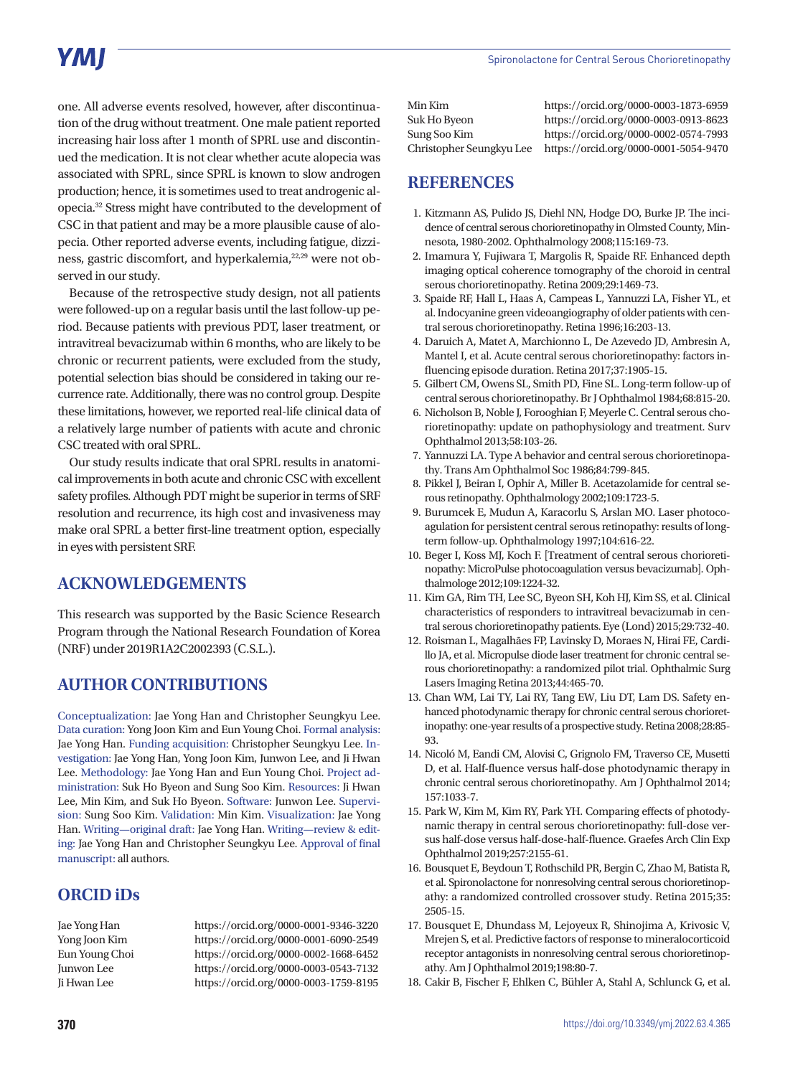one. All adverse events resolved, however, after discontinuation of the drug without treatment. One male patient reported increasing hair loss after 1 month of SPRL use and discontinued the medication. It is not clear whether acute alopecia was associated with SPRL, since SPRL is known to slow androgen production; hence, it is sometimes used to treat androgenic alopecia.32 Stress might have contributed to the development of CSC in that patient and may be a more plausible cause of alopecia. Other reported adverse events, including fatigue, dizziness, gastric discomfort, and hyperkalemia,<sup>22,29</sup> were not observed in our study.

Because of the retrospective study design, not all patients were followed-up on a regular basis until the last follow-up period. Because patients with previous PDT, laser treatment, or intravitreal bevacizumab within 6 months, who are likely to be chronic or recurrent patients, were excluded from the study, potential selection bias should be considered in taking our recurrence rate. Additionally, there was no control group. Despite these limitations, however, we reported real-life clinical data of a relatively large number of patients with acute and chronic CSC treated with oral SPRL.

Our study results indicate that oral SPRL results in anatomical improvements in both acute and chronic CSC with excellent safety profiles. Although PDT might be superior in terms of SRF resolution and recurrence, its high cost and invasiveness may make oral SPRL a better first-line treatment option, especially in eyes with persistent SRF.

#### **ACKNOWLEDGEMENTS**

This research was supported by the Basic Science Research Program through the National Research Foundation of Korea (NRF) under 2019R1A2C2002393 (C.S.L.).

# **AUTHOR CONTRIBUTIONS**

Conceptualization: Jae Yong Han and Christopher Seungkyu Lee. Data curation: Yong Joon Kim and Eun Young Choi. Formal analysis: Jae Yong Han. Funding acquisition: Christopher Seungkyu Lee. Investigation: Jae Yong Han, Yong Joon Kim, Junwon Lee, and Ji Hwan Lee. Methodology: Jae Yong Han and Eun Young Choi. Project administration: Suk Ho Byeon and Sung Soo Kim. Resources: Ji Hwan Lee, Min Kim, and Suk Ho Byeon. Software: Junwon Lee. Supervision: Sung Soo Kim. Validation: Min Kim. Visualization: Jae Yong Han. Writing—original draft: Jae Yong Han. Writing—review & editing: Jae Yong Han and Christopher Seungkyu Lee. Approval of final manuscript: all authors.

#### **ORCID iDs**

Jae Yong Han https://orcid.org/0000-0001-9346-3220 Yong Joon Kim https://orcid.org/0000-0001-6090-2549 Eun Young Choi https://orcid.org/0000-0002-1668-6452 Junwon Lee https://orcid.org/0000-0003-0543-7132 Ji Hwan Lee https://orcid.org/0000-0003-1759-8195

Min Kim https://orcid.org/0000-0003-1873-6959 Suk Ho Byeon https://orcid.org/0000-0003-0913-8623 Sung Soo Kim https://orcid.org/0000-0002-0574-7993 https://orcid.org/0000-0001-5054-9470

# **REFERENCES**

- 1. Kitzmann AS, Pulido JS, Diehl NN, Hodge DO, Burke JP. The incidence of central serous chorioretinopathy in Olmsted County, Minnesota, 1980-2002. Ophthalmology 2008;115:169-73.
- 2. Imamura Y, Fujiwara T, Margolis R, Spaide RF. Enhanced depth imaging optical coherence tomography of the choroid in central serous chorioretinopathy. Retina 2009;29:1469-73.
- 3. Spaide RF, Hall L, Haas A, Campeas L, Yannuzzi LA, Fisher YL, et al. Indocyanine green videoangiography of older patients with central serous chorioretinopathy. Retina 1996;16:203-13.
- 4. Daruich A, Matet A, Marchionno L, De Azevedo JD, Ambresin A, Mantel I, et al. Acute central serous chorioretinopathy: factors influencing episode duration. Retina 2017;37:1905-15.
- 5. Gilbert CM, Owens SL, Smith PD, Fine SL. Long-term follow-up of central serous chorioretinopathy. Br J Ophthalmol 1984;68:815-20.
- 6. Nicholson B, Noble J, Forooghian F, Meyerle C. Central serous chorioretinopathy: update on pathophysiology and treatment. Surv Ophthalmol 2013;58:103-26.
- 7. Yannuzzi LA. Type A behavior and central serous chorioretinopathy. Trans Am Ophthalmol Soc 1986;84:799-845.
- 8. Pikkel J, Beiran I, Ophir A, Miller B. Acetazolamide for central serous retinopathy. Ophthalmology 2002;109:1723-5.
- 9. Burumcek E, Mudun A, Karacorlu S, Arslan MO. Laser photocoagulation for persistent central serous retinopathy: results of longterm follow-up. Ophthalmology 1997;104:616-22.
- 10. Beger I, Koss MJ, Koch F. [Treatment of central serous chorioretinopathy: MicroPulse photocoagulation versus bevacizumab]. Ophthalmologe 2012;109:1224-32.
- 11. Kim GA, Rim TH, Lee SC, Byeon SH, Koh HJ, Kim SS, et al. Clinical characteristics of responders to intravitreal bevacizumab in central serous chorioretinopathy patients. Eye (Lond) 2015;29:732-40.
- 12. Roisman L, Magalhães FP, Lavinsky D, Moraes N, Hirai FE, Cardillo JA, et al. Micropulse diode laser treatment for chronic central serous chorioretinopathy: a randomized pilot trial. Ophthalmic Surg Lasers Imaging Retina 2013;44:465-70.
- 13. Chan WM, Lai TY, Lai RY, Tang EW, Liu DT, Lam DS. Safety enhanced photodynamic therapy for chronic central serous chorioretinopathy: one-year results of a prospective study. Retina 2008;28:85- 93.
- 14. Nicoló M, Eandi CM, Alovisi C, Grignolo FM, Traverso CE, Musetti D, et al. Half-fluence versus half-dose photodynamic therapy in chronic central serous chorioretinopathy. Am J Ophthalmol 2014; 157:1033-7.
- 15. Park W, Kim M, Kim RY, Park YH. Comparing effects of photodynamic therapy in central serous chorioretinopathy: full-dose versus half-dose versus half-dose-half-fluence. Graefes Arch Clin Exp Ophthalmol 2019;257:2155-61.
- 16. Bousquet E, Beydoun T, Rothschild PR, Bergin C, Zhao M, Batista R, et al. Spironolactone for nonresolving central serous chorioretinopathy: a randomized controlled crossover study. Retina 2015;35: 2505-15.
- 17. Bousquet E, Dhundass M, Lejoyeux R, Shinojima A, Krivosic V, Mrejen S, et al. Predictive factors of response to mineralocorticoid receptor antagonists in nonresolving central serous chorioretinopathy. Am J Ophthalmol 2019;198:80-7.
- 18. Cakir B, Fischer F, Ehlken C, Bühler A, Stahl A, Schlunck G, et al.